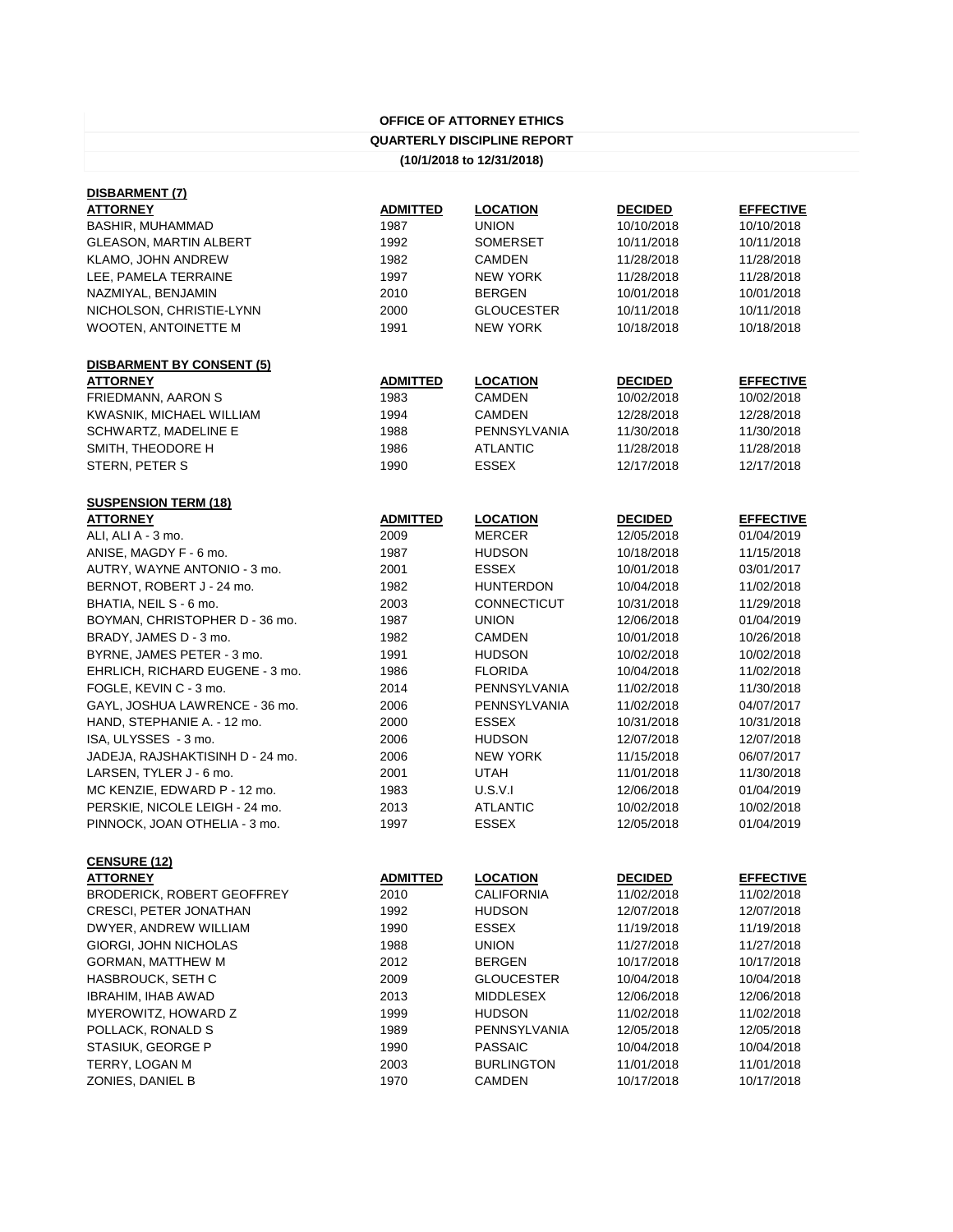| <b>OFFICE OF ATTORNEY ETHICS</b>   |
|------------------------------------|
| <b>QUARTERLY DISCIPLINE REPORT</b> |
| (10/1/2018 to 12/31/2018)          |

| <b>ADMITTED</b> | <b>LOCATION</b>    | <b>DECIDED</b>                      | <b>EFFECTIVE</b> |
|-----------------|--------------------|-------------------------------------|------------------|
|                 |                    |                                     | 10/10/2018       |
|                 | <b>SOMERSET</b>    | 10/11/2018                          | 10/11/2018       |
| 1982            | <b>CAMDEN</b>      | 11/28/2018                          | 11/28/2018       |
| 1997            | <b>NEW YORK</b>    | 11/28/2018                          | 11/28/2018       |
| 2010            | <b>BERGEN</b>      | 10/01/2018                          | 10/01/2018       |
| 2000            | <b>GLOUCESTER</b>  | 10/11/2018                          | 10/11/2018       |
| 1991            | <b>NEW YORK</b>    | 10/18/2018                          | 10/18/2018       |
|                 |                    |                                     |                  |
| <b>ADMITTED</b> | <b>LOCATION</b>    | <b>DECIDED</b>                      | <b>EFFECTIVE</b> |
| 1983            | <b>CAMDEN</b>      | 10/02/2018                          | 10/02/2018       |
| 1994            | <b>CAMDEN</b>      | 12/28/2018                          | 12/28/2018       |
| 1988            |                    | 11/30/2018                          | 11/30/2018       |
| 1986            | <b>ATLANTIC</b>    | 11/28/2018                          | 11/28/2018       |
| 1990            | <b>ESSEX</b>       | 12/17/2018                          | 12/17/2018       |
|                 |                    |                                     |                  |
| <b>ADMITTED</b> | <b>LOCATION</b>    | <b>DECIDED</b>                      | <b>EFFECTIVE</b> |
| 2009            | <b>MERCER</b>      | 12/05/2018                          | 01/04/2019       |
| 1987            | <b>HUDSON</b>      | 10/18/2018                          | 11/15/2018       |
| 2001            | <b>ESSEX</b>       | 10/01/2018                          | 03/01/2017       |
| 1982            | <b>HUNTERDON</b>   | 10/04/2018                          | 11/02/2018       |
| 2003            | <b>CONNECTICUT</b> | 10/31/2018                          | 11/29/2018       |
| 1987            | <b>UNION</b>       | 12/06/2018                          | 01/04/2019       |
| 1982            | <b>CAMDEN</b>      | 10/01/2018                          | 10/26/2018       |
| 1991            | <b>HUDSON</b>      | 10/02/2018                          | 10/02/2018       |
| 1986            | <b>FLORIDA</b>     | 10/04/2018                          | 11/02/2018       |
| 2014            | PENNSYLVANIA       | 11/02/2018                          | 11/30/2018       |
| 2006            | PENNSYLVANIA       | 11/02/2018                          | 04/07/2017       |
| 2000            | <b>ESSEX</b>       | 10/31/2018                          | 10/31/2018       |
| 2006            | <b>HUDSON</b>      | 12/07/2018                          | 12/07/2018       |
| 2006            | <b>NEW YORK</b>    | 11/15/2018                          | 06/07/2017       |
| 2001            | <b>UTAH</b>        | 11/01/2018                          | 11/30/2018       |
| 1983            | U.S.V.I            | 12/06/2018                          | 01/04/2019       |
| 2013            | <b>ATLANTIC</b>    | 10/02/2018                          | 10/02/2018       |
| 1997            | <b>ESSEX</b>       | 12/05/2018                          | 01/04/2019       |
|                 |                    |                                     |                  |
| <b>ADMITTED</b> | <b>LOCATION</b>    | <b>DECIDED</b>                      | <b>EFFECTIVE</b> |
| 2010            | <b>CALIFORNIA</b>  | 11/02/2018                          | 11/02/2018       |
| 1992            | <b>HUDSON</b>      | 12/07/2018                          | 12/07/2018       |
| 1990            | <b>ESSEX</b>       | 11/19/2018                          | 11/19/2018       |
| 1988            | <b>UNION</b>       | 11/27/2018                          | 11/27/2018       |
| 2012            | <b>BERGEN</b>      | 10/17/2018                          | 10/17/2018       |
| 2009            | <b>GLOUCESTER</b>  | 10/04/2018                          | 10/04/2018       |
| 2013            | <b>MIDDLESEX</b>   | 12/06/2018                          | 12/06/2018       |
| 1999            | <b>HUDSON</b>      | 11/02/2018                          | 11/02/2018       |
| 1989            | PENNSYLVANIA       | 12/05/2018                          | 12/05/2018       |
| 1990            | <b>PASSAIC</b>     | 10/04/2018                          | 10/04/2018       |
| 2003            | <b>BURLINGTON</b>  | 11/01/2018                          | 11/01/2018       |
| 1970            | <b>CAMDEN</b>      | 10/17/2018                          | 10/17/2018       |
|                 | 1987<br>1992       | <b>UNION</b><br><b>PENNSYLVANIA</b> | 10/10/2018       |